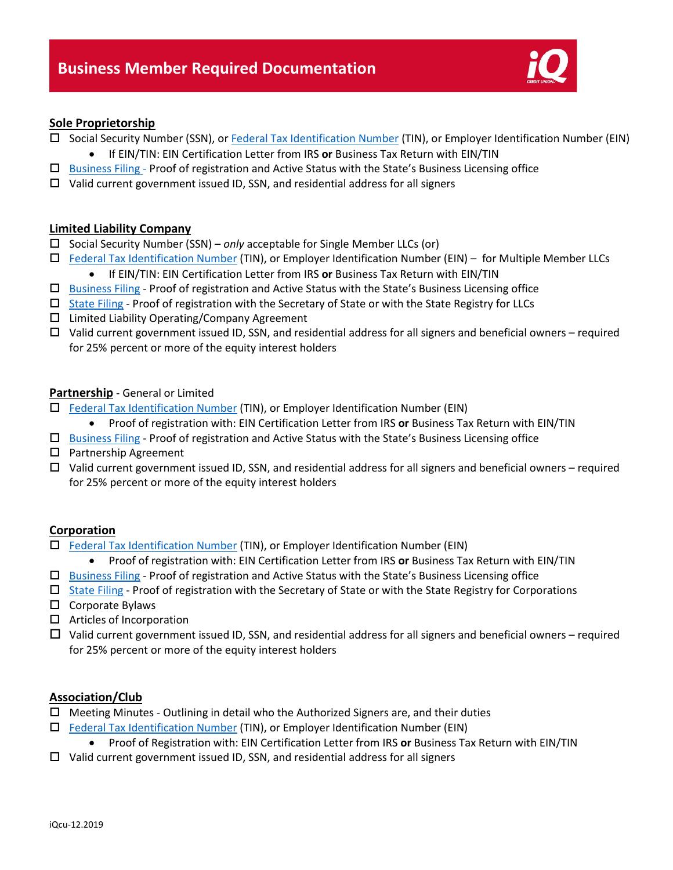

## **Sole Proprietorship**

- □ Social Security Number (SSN), or [Federal Tax Identification Number](https://www.irs.gov/businesses/small-businesses-self-employed/employer-id-numbers) (TIN), or Employer Identification Number (EIN)
	- If EIN/TIN: EIN Certification Letter from IRS **or** Business Tax Return with EIN/TIN
- $\Box$  [Business](https://secure.dor.wa.gov/gteunauth/_/#2) Filing Proof of registration and Active Status with the State's Business Licensing office
- $\Box$  Valid current government issued ID, SSN, and residential address for all signers

## **Limited Liability Company**

- □ Social Security Number (SSN) *only* acceptable for Single Member LLCs (or)
- □ [Federal Tax Identification Number](https://www.irs.gov/businesses/small-businesses-self-employed/employer-id-numbers) (TIN), or Employer Identification Number (EIN) for Multiple Member LLCs • If EIN/TIN: EIN Certification Letter from IRS **or** Business Tax Return with EIN/TIN
- $\Box$  [Business Filing](https://secure.dor.wa.gov/gteunauth/_/#2) Proof of registration and Active Status with the State's Business Licensing office
- $\Box$  [State Filing](https://ccfs.sos.wa.gov/#/) Proof of registration with the Secretary of State or with the State Registry for LLCs
- $\square$  Limited Liability Operating/Company Agreement
- $\Box$  Valid current government issued ID, SSN, and residential address for all signers and beneficial owners required for 25% percent or more of the equity interest holders

## **Partnership** - General or Limited

- $\Box$  [Federal Tax Identification Number](https://www.irs.gov/businesses/small-businesses-self-employed/employer-id-numbers) (TIN), or Employer Identification Number (EIN)
	- Proof of registration with: EIN Certification Letter from IRS **or** Business Tax Return with EIN/TIN
- $\Box$  [Business Filing](https://secure.dor.wa.gov/gteunauth/_/#2) Proof of registration and Active Status with the State's Business Licensing office
- $\square$  Partnership Agreement
- $\Box$  Valid current government issued ID, SSN, and residential address for all signers and beneficial owners required for 25% percent or more of the equity interest holders

#### **Corporation**

- [Federal Tax Identification Number](https://www.irs.gov/businesses/small-businesses-self-employed/employer-id-numbers) (TIN), or Employer Identification Number (EIN)
	- Proof of registration with: EIN Certification Letter from IRS **or** Business Tax Return with EIN/TIN
- $\Box$  [Business Filing](https://secure.dor.wa.gov/gteunauth/_/#2) Proof of registration and Active Status with the State's Business Licensing office
- $\Box$  [State Filing](https://ccfs.sos.wa.gov/#/) Proof of registration with the Secretary of State or with the State Registry for Corporations
- $\square$  Corporate Bylaws
- $\Box$  Articles of Incorporation
- $\Box$  Valid current government issued ID, SSN, and residential address for all signers and beneficial owners required for 25% percent or more of the equity interest holders

## **Association/Club**

- $\Box$  Meeting Minutes Outlining in detail who the Authorized Signers are, and their duties
- $\Box$  [Federal Tax Identification Number](https://www.irs.gov/businesses/small-businesses-self-employed/employer-id-numbers) (TIN), or Employer Identification Number (EIN)
	- Proof of Registration with: EIN Certification Letter from IRS **or** Business Tax Return with EIN/TIN
- $\Box$  Valid current government issued ID, SSN, and residential address for all signers